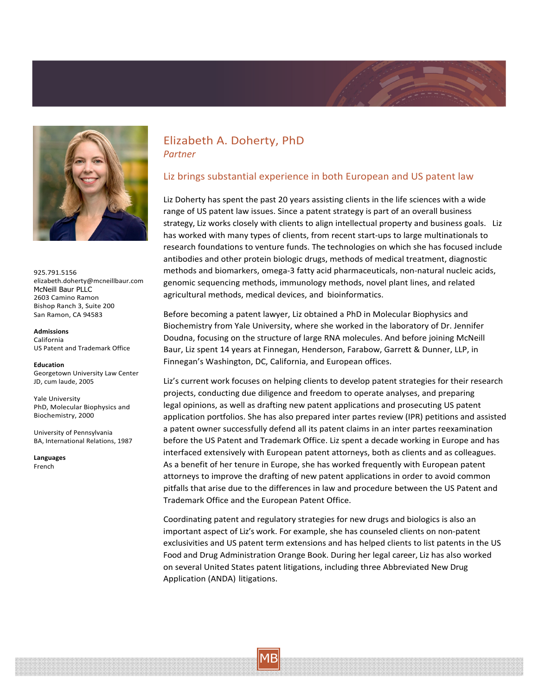



925.791.5156 elizabeth.doherty@mcneillbaur.com McNeill Baur PLLC 2603 Camino Ramon Bishop Ranch 3, Suite 200 San Ramon, CA 94583

**Admissions** California US Patent and Trademark Office

**Education** Georgetown University Law Center JD, cum laude, 2005

Yale University PhD, Molecular Biophysics and Biochemistry, 2000

University of Pennsylvania BA, International Relations, 1987

**Languages** French

## Elizabeth A. Doherty, PhD *Partner*

### Liz brings substantial experience in both European and US patent law

Liz Doherty has spent the past 20 years assisting clients in the life sciences with a wide range of US patent law issues. Since a patent strategy is part of an overall business strategy, Liz works closely with clients to align intellectual property and business goals. Liz has worked with many types of clients, from recent start‐ups to large multinationals to research foundations to venture funds. The technologies on which she has focused include antibodies and other protein biologic drugs, methods of medical treatment, diagnostic methods and biomarkers, omega‐3 fatty acid pharmaceuticals, non‐natural nucleic acids, genomic sequencing methods, immunology methods, novel plant lines, and related agricultural methods, medical devices, and bioinformatics.

Before becoming a patent lawyer, Liz obtained a PhD in Molecular Biophysics and Biochemistry from Yale University, where she worked in the laboratory of Dr. Jennifer Doudna, focusing on the structure of large RNA molecules. And before joining McNeill Baur, Liz spent 14 years at Finnegan, Henderson, Farabow, Garrett & Dunner, LLP, in Finnegan's Washington, DC, California, and European offices.

Liz's current work focuses on helping clients to develop patent strategies for their research projects, conducting due diligence and freedom to operate analyses, and preparing legal opinions, as well as drafting new patent applications and prosecuting US patent application portfolios. She has also prepared inter partes review (IPR) petitions and assisted a patent owner successfully defend all its patent claims in an inter partes reexamination before the US Patent and Trademark Office. Liz spent a decade working in Europe and has interfaced extensively with European patent attorneys, both as clients and as colleagues. As a benefit of her tenure in Europe, she has worked frequently with European patent attorneys to improve the drafting of new patent applications in order to avoid common pitfalls that arise due to the differences in law and procedure between the US Patent and Trademark Office and the European Patent Office.

Coordinating patent and regulatory strategies for new drugs and biologics is also an important aspect of Liz's work. For example, she has counseled clients on non‐patent exclusivities and US patent term extensions and has helped clients to list patents in the US Food and Drug Administration Orange Book. During her legal career, Liz has also worked on several United States patent litigations, including three Abbreviated New Drug Application (ANDA) litigations.